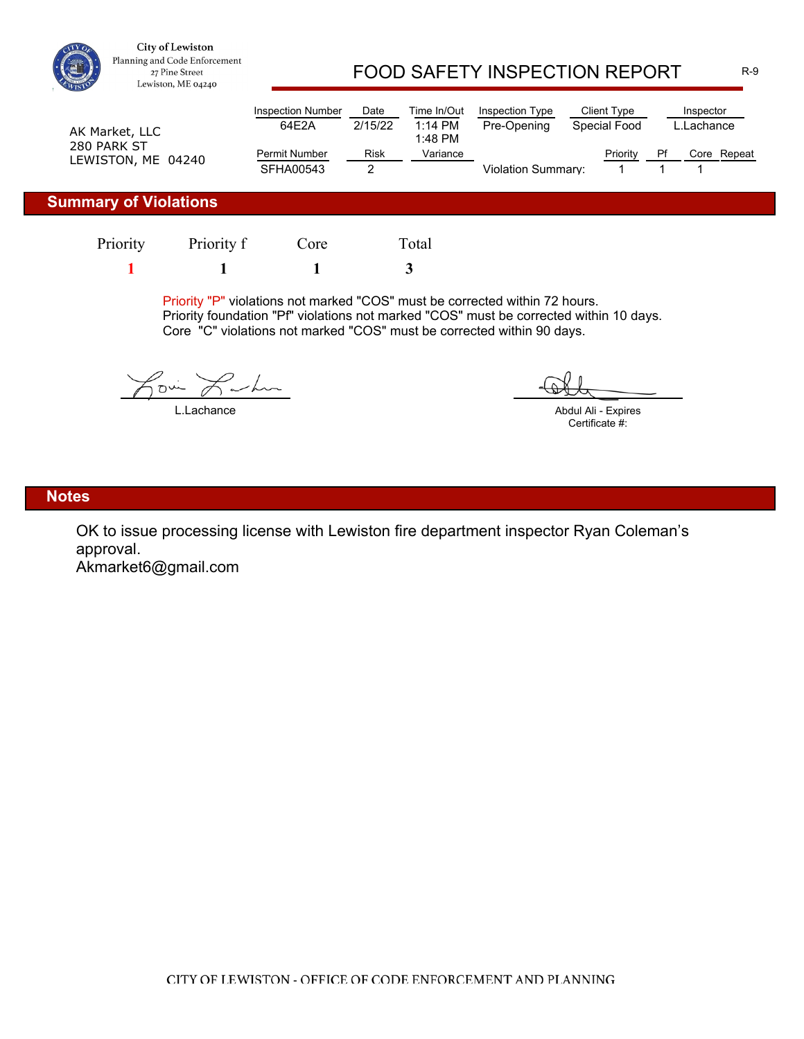

City of Lewiston Planning and Code Enforcement 27 Pine Street Lewiston, ME 04240

# FOOD SAFETY INSPECTION REPORT R-9

| AK Market, LLC<br>280 PARK ST<br>LEWISTON, ME 04240 | <b>Inspection Number</b><br>64E2A | Date<br>2/15/22 | Time In/Out<br>$1:14$ PM<br>1:48 PM | Inspection Type<br>Client Type<br>Pre-Opening<br>Special Food |  |          | Inspector<br>L.Lachance_ |             |  |
|-----------------------------------------------------|-----------------------------------|-----------------|-------------------------------------|---------------------------------------------------------------|--|----------|--------------------------|-------------|--|
|                                                     | <b>Permit Number</b><br>SFHA00543 | <b>Risk</b>     | Variance                            |                                                               |  | Priority | Pf                       | Core Repeat |  |
|                                                     |                                   |                 |                                     | <b>Violation Summary:</b>                                     |  |          |                          |             |  |

#### **Summary of Violations**

**1 1 1 3** Priority Priority f Core Total

Priority "P" violations not marked "COS" must be corrected within 72 hours. Priority foundation "Pf" violations not marked "COS" must be corrected within 10 days. Core "C" violations not marked "COS" must be corrected within 90 days.

 $\curvearrowleft$  $\sim$ 

L.Lachance

Abdul Ali - Expires Certificate #:

#### **Notes**

OK to issue processing license with Lewiston fire department inspector Ryan Coleman's approval.

Akmarket6@gmail.com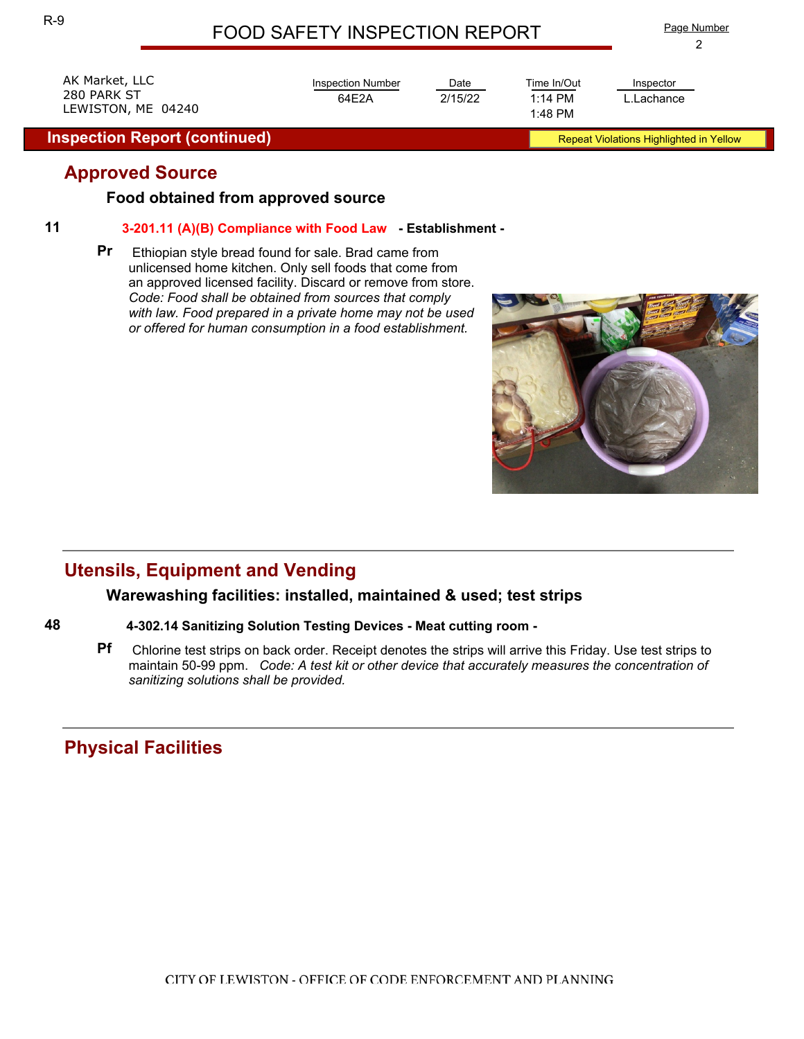## FOOD SAFETY INSPECTION REPORT

Date

2/15/22 1:14 PM

Time In/Out

1:48 PM

Inspection Number

64E2A

AK Market, LLC 280 PARK ST LEWISTON, ME 04240

**Inspection Report (continued)** Report (continued) Repeat Violations Highlighted in Yellow

## **Approved Source**

#### **Food obtained from approved source**

#### **11 3-201.11 (A)(B) Compliance with Food Law - Establishment -**

**Pr** Ethiopian style bread found for sale. Brad came from unlicensed home kitchen. Only sell foods that come from an approved licensed facility. Discard or remove from store. *Code: Food shall be obtained from sources that comply with law. Food prepared in a private home may not be used or offered for human consumption in a food establishment.*

# **Utensils, Equipment and Vending**

#### **Warewashing facilities: installed, maintained & used; test strips**

#### **48 4-302.14 Sanitizing Solution Testing Devices - Meat cutting room -**

**Pf** Chlorine test strips on back order. Receipt denotes the strips will arrive this Friday. Use test strips to maintain 50-99 ppm. *Code: A test kit or other device that accurately measures the concentration of sanitizing solutions shall be provided.*

## **Physical Facilities**



L.Lachance Inspector

2 Page Number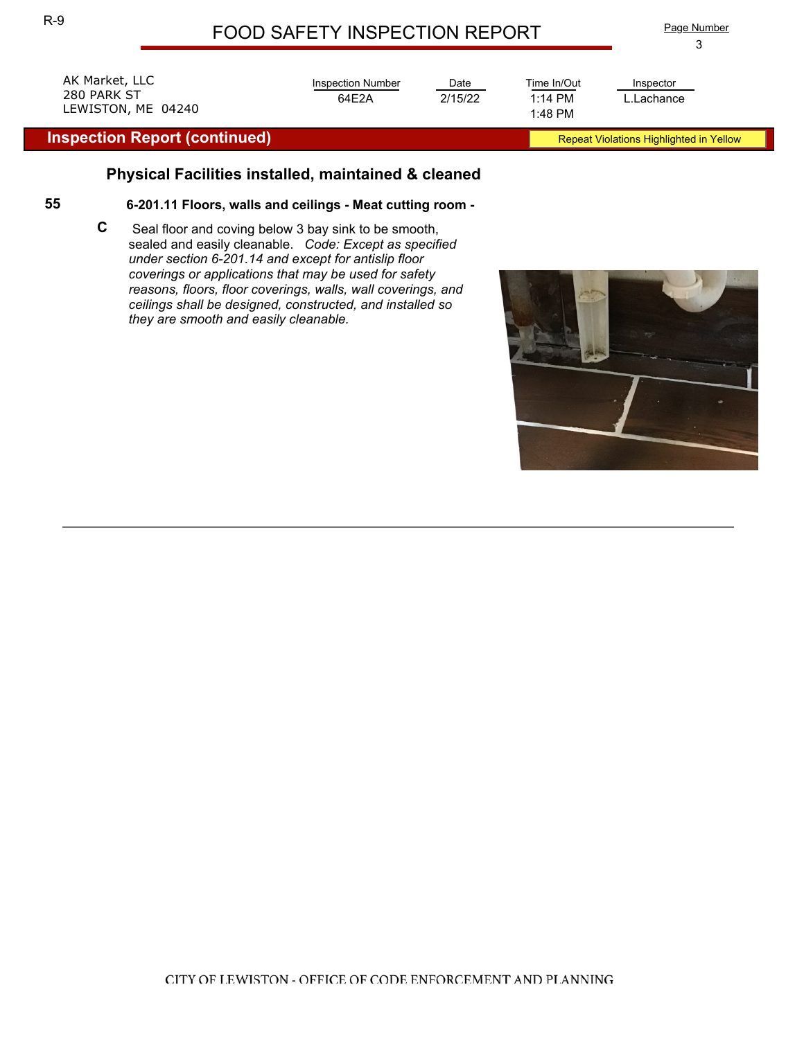# FOOD SAFETY INSPECTION REPORT

3 Page Number

| LEWISTON, ME 04240<br><b>Inspection Report (continued)</b> |                   |         | 1:48 PM     | Repeat Violations Highlighted in Yellow |  |
|------------------------------------------------------------|-------------------|---------|-------------|-----------------------------------------|--|
| AK Market, LLC                                             | Inspection Number | Date    | Time In/Out | Inspector                               |  |
| 280 PARK ST                                                | 64F2A             | 2/15/22 | $1:14$ PM   | L.Lachance                              |  |

### **Physical Facilities installed, maintained & cleaned**

#### **55 6-201.11 Floors, walls and ceilings - Meat cutting room -**

**C** Seal floor and coving below 3 bay sink to be smooth, sealed and easily cleanable. *Code: Except as specified under section 6-201.14 and except for antislip floor coverings or applications that may be used for safety reasons, floors, floor coverings, walls, wall coverings, and ceilings shall be designed, constructed, and installed so they are smooth and easily cleanable.*